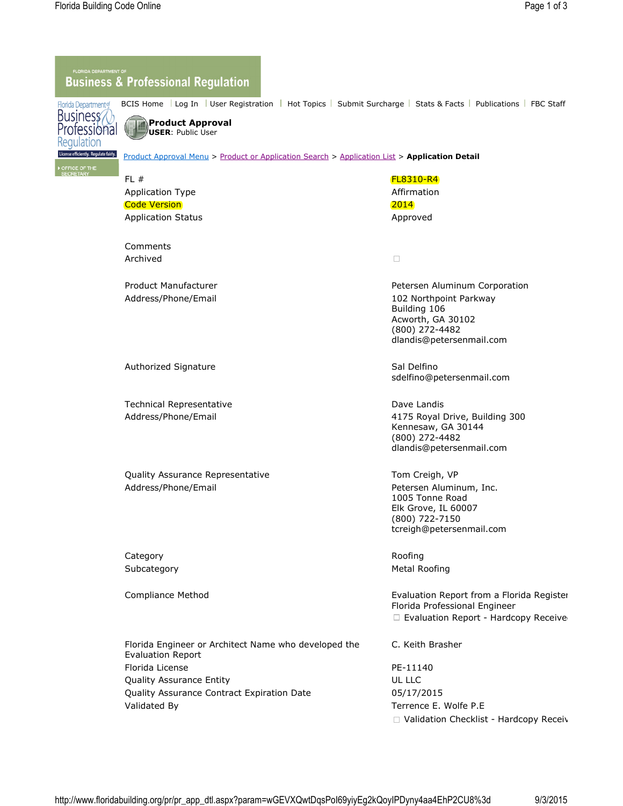## **Business & Professional Regulation**

BCIS Home Log In Luser Registration Hot Topics Submit Surcharge Stats & Facts Publications FBC Staff Florida Department of



FFICE OF THE<br>ECRETARY

**Product Approval USER**: Public User

Product Approval Menu > Product or Application Search > Application List > **Application Detail**

## **FL #** FL # **FL8310-R4** Application Type **Affirmation** Code Version and the contract of the contract of the contract of the contract of the contract of the contract of the contract of the contract of the contract of the contract of the contract of the contract of the contract Application Status **Application Status** Approved Comments  $\Box$ Archived Product Manufacturer **Petersen Aluminum Corporation** Petersen Aluminum Corporation Address/Phone/Email 102 Northpoint Parkway Building 106 Acworth, GA 30102 (800) 272-4482 dlandis@petersenmail.com Authorized Signature **Sal Delfino** Sal Delfino sdelfino@petersenmail.com Technical Representative **Dave Landis** Dave Landis Address/Phone/Email 4175 Royal Drive, Building 300 Kennesaw, GA 30144 (800) 272-4482 dlandis@petersenmail.com Quality Assurance Representative Tom Creigh, VP Address/Phone/Email **Petersen Aluminum, Inc.** 1005 Tonne Road Elk Grove, IL 60007 (800) 722-7150 tcreigh@petersenmail.com Category **Roofing** Subcategory **Metal Roofing** Subcategory **Metal Roofing** Compliance Method **Evaluation Report from a Florida Register** Architect or a Licensed Architect or a Licensed Architect or a Licensed Architect or a Licensed Architect or a Licensed Architect or a Licensed Architect or a L Florida Professional Engineer  $\Box$  Evaluation Report - Hardcopy Receive Florida Engineer or Architect Name who developed the C. Keith Brasher Evaluation Report Florida License **PE-11140** Quality Assurance Entity **CONTACT CONTACT CONTACT CONTACT CONTACT CONTACT CONTACT CONTACT CONTACT CONTACT CONTACT CONTACT CONTACT CONTACT CONTACT CONTACT CONTACT CONTACT CONTACT CONTACT CONTACT CONTACT CONTACT CONTACT CONT** Quality Assurance Contract Expiration Date 05/17/2015 Validated By Terrence E. Wolfe P.E  $\Box$  Validation Checklist - Hardcopy Received

http://www.floridabuilding.org/pr/pr\_app\_dtl.aspx?param=wGEVXQwtDqsPoI69yiyEg2kQoyIPDyny4aa4EhP2CU8%3d 9/3/2015